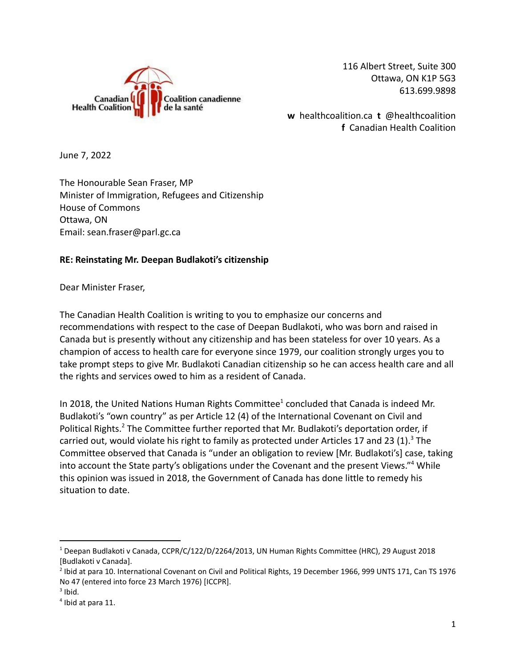

116 Albert Street, Suite 300 Ottawa, ON K1P 5G3 613.699.9898

**w** healthcoalition.ca **t** @healthcoalition **f** Canadian Health Coalition

June 7, 2022

The Honourable Sean Fraser, MP Minister of Immigration, Refugees and Citizenship House of Commons Ottawa, ON Email: sean.fraser@parl.gc.ca

## **RE: Reinstating Mr. Deepan Budlakoti's citizenship**

Dear Minister Fraser,

The Canadian Health Coalition is writing to you to emphasize our concerns and recommendations with respect to the case of Deepan Budlakoti, who was born and raised in Canada but is presently without any citizenship and has been stateless for over 10 years. As a champion of access to health care for everyone since 1979, our coalition strongly urges you to take prompt steps to give Mr. Budlakoti Canadian citizenship so he can access health care and all the rights and services owed to him as a resident of Canada.

In 2018, the United Nations Human Rights Committee<sup>1</sup> concluded that Canada is indeed Mr. Budlakoti's "own country" as per Article 12 (4) of the International Covenant on Civil and Political Rights.<sup>2</sup> The Committee further reported that Mr. Budlakoti's deportation order, if carried out, would violate his right to family as protected under Articles 17 and 23 (1).<sup>3</sup> The Committee observed that Canada is "under an obligation to review [Mr. Budlakoti's] case, taking into account the State party's obligations under the Covenant and the present Views."<sup>4</sup> While this opinion was issued in 2018, the Government of Canada has done little to remedy his situation to date.

<sup>1</sup> Deepan Budlakoti v Canada, CCPR/C/122/D/2264/2013, UN Human Rights Committee (HRC), 29 August 2018 [Budlakoti v Canada].

 $^2$  Ibid at para 10. International Covenant on Civil and Political Rights, 19 December 1966, 999 UNTS 171, Can TS 1976 No 47 (entered into force 23 March 1976) [ICCPR].

 $3$  Ibid.

<sup>4</sup> Ibid at para 11.